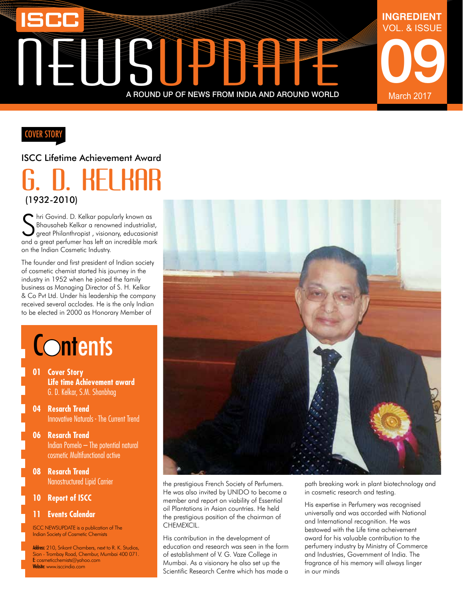# NewsUPPATE A ROUND UP OF NEWS FROM INDIA AND AROUND WORLD

### **COVER STORY**

#### ISCC Lifetime Achievement Award

### G. D. Kelkar (1932-2010)

Shri Govind. D. Kelkar popularly known as<br>Shausaheb Kelkar a renowned industrialist,<br>and a great perfumer has left an incredible mark hri Govind. D. Kelkar popularly known as Bhausaheb Kelkar a renowned industrialist, great Philanthropist , visionary, educasionist on the Indian Cosmetic Industry.

The founder and first president of Indian society of cosmetic chemist started his journey in the industry in 1952 when he joined the family business as Managing Director of S. H. Kelkar & Co Pvt Ltd. Under his leadership the company received several acclodes. He is the only Indian to be elected in 2000 as Honorary Member of

## **Contents**

- **01 Cover Story Life time Achievement award** G. D. Kelkar, S.M. Shanbhag
- **04 Resarch Trend** Innovative Naturals - The Current Trend
- **06 Resarch Trend** Indian Pomelo – The potential natural cosmetic Multifunctional active
- **08 Resarch Trend** Nanostructured Lipid Carrier
- **10 Report of ISCC**

#### **11 Events Calendar**

ISCC NEWSUPDATE is a publication of The Indian Society of Cosmetic Chemists

Address: 210, Srikant Chambers, next to R. K. Studios, Sion - Trombay Road, Chembur, Mumbai 400 071. E: cosmeticchemists@yahoo.com Website: www.isccindia.com



the prestigious French Society of Perfumers. He was also invited by UNIDO to become a member and report on viability of Essential oil Plantations in Asian countries. He held the prestigious position of the chairman of CHEMEXCIL.

His contribution in the development of education and research was seen in the form of establishment of V. G. Vaze College in Mumbai. As a visionary he also set up the Scientific Research Centre which has made a

path breaking work in plant biotechnology and in cosmetic research and testing.

09

March 2017

VOL. & ISSUE

**INGREDIENT**

His expertise in Perfumery was recognised universally and was accorded with National and International recognition. He was bestowed with the Life time acheivement award for his valuable contribution to the perfumery industry by Ministry of Commerce and Industries, Government of India. The fragrance of his memory will always linger in our minds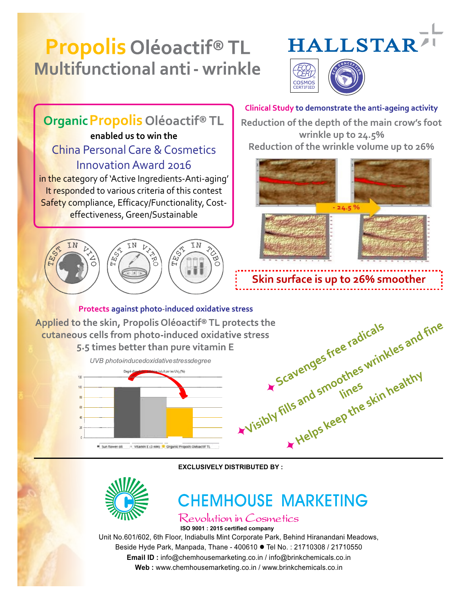## **Propolis Oléoactif® TL Multifunctional anti - wrinkle**





**Clinical Study to demonstrate the anti-ageing activity** Organic Propolis Oléoactif<sup>®</sup> TL Reduction of the depth of the main crow's foot **enabled us to win the** wrinkle up to 24.5% Reduction of the wrinkle volume up to 26% China Personal Care & Cosmetics Innovation Award 2016 in the category of 'Active Ingredients-Anti-aging' It responded to various criteria of this contest Safety compliance, Efficacy/Functionality, Cost- $24.5<sup>9</sup>$ effectiveness, Green/Sustainable **FEST** (kj<br>H Skin surface is up to 26% smoother **Protects against photo-induced oxidative stress** stress<br>otects the<br>live stress<br>interesting the street adjcals<br>interesting the skin healthy<br>whisibly fills and smoothes wrinkles and fine<br>whisibly fills and smoothes skin healthy Applied to the skin, Propolis Oléoactif® TL protects the cutaneous cells from photo-induced oxidative stress 5.5 times better than pure vitamin E cavenges ...<br>eavenges ...<br>iills and smoothes wrinnealthy<br>iills and smoothes skin healthy UVB photoinducedoxidativestressdegree luit par les UV<sub>B</sub> (%) Sun flower of : Vitamin E (3 mM) Creanic Proposis Oldsactif TL

**EXCLUSIVELY DISTRIBUTED BY :**



### **CHEMHOUSE MARKETING**

Revolution in Cosmetics

Unit No.601/602, 6th Floor, Indiabulls Mint Corporate Park, Behind Hiranandani Meadows, Beside Hyde Park, Manpada, Thane - 400610 ● Tel No.: 21710308 / 21710550 **ISO 9001 : 2015 certified company**

**Email ID :** info@chemhousemarketing.co.in / info@brinkchemicals.co.in

**Web :** www.chemhousemarketing.co.in / www.brinkchemicals.co.in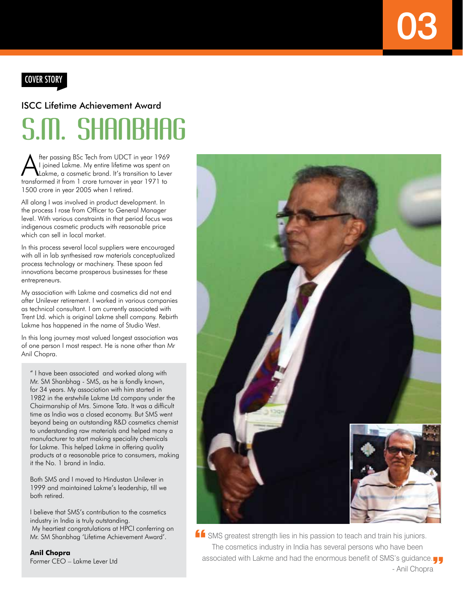### Cover Story

## S.M. SHANBHAG ISCC Lifetime Achievement Award

After passing BSc Tech from UDCT in year 1969<br>Lightne, a cosmetic brand. It's transition to Lever<br>transformed it from 1 area turnum is user 1971 to I joined Lakme. My entire lifetime was spent on transformed it from 1 crore turnover in year 1971 to 1500 crore in year 2005 when I retired.

All along I was involved in product development. In the process I rose from Officer to General Manager level. With various constraints in that period focus was indigenous cosmetic products with reasonable price which can sell in local market.

In this process several local suppliers were encouraged with all in lab synthesised raw materials conceptualized process technology or machinery. These spoon fed innovations became prosperous businesses for these entrepreneurs.

My association with Lakme and cosmetics did not end after Unilever retirement. I worked in various companies as technical consultant. I am currently associated with Trent Ltd. which is original Lakme shell company. Rebirth Lakme has happened in the name of Studio West.

In this long journey most valued longest association was of one person I most respect. He is none other than Mr Anil Chopra.

" I have been associated and worked along with Mr. SM Shanbhag - SMS, as he is fondly known, for 34 years. My association with him started in 1982 in the erstwhile Lakme Ltd company under the Chairmanship of Mrs. Simone Tata. It was a difficult time as India was a closed economy. But SMS went beyond being an outstanding R&D cosmetics chemist to understanding raw materials and helped many a manufacturer to start making speciality chemicals for Lakme. This helped Lakme in offering quality products at a reasonable price to consumers, making it the No. 1 brand in India.

Both SMS and I moved to Hindustan Unilever in 1999 and maintained Lakme's leadership, till we both retired.

I believe that SMS's contribution to the cosmetics industry in India is truly outstanding. My heartiest congratulations at HPCI conferring on Mr. SM Shanbhag 'Lifetime Achievement Award'.

**Anil Chopra** Former CEO – Lakme Lever Ltd



**K** SMS greatest strength lies in his passion to teach and train his juniors. The cosmetics industry in India has several persons who have been associated with Lakme and had the enormous benefit of SMS's guidance. - Anil Chopra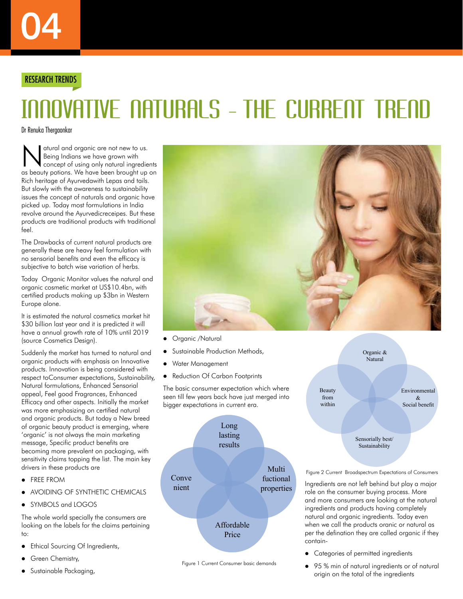#### RESEARCH TRENDS

## INNOVATIVE NATURALS - THE CURRENT TRE

Dr Renuka Thergaonkar

N atural and organic are not new to us.<br>
Being Indians we have grown with<br>
concept of using only natural ingredients<br>
concept of using only natural ingredients Being Indians we have grown with as beauty potions. We have been brought up on Rich heritage of Ayurvedawith Lepas and tails. But slowly with the awareness to sustainability issues the concept of naturals and organic have picked up. Today most formulations in India revolve around the Ayurvedicreceipes. But these products are traditional products with traditional feel.

The Drawbacks of current natural products are generally these are heavy feel formulation with no sensorial benefits and even the efficacy is subjective to batch wise variation of herbs.

Today Organic Monitor values the natural and organic cosmetic market at US\$10.4bn, with certified products making up \$3bn in Western Europe alone.

It is estimated the natural cosmetics market hit \$30 billion last year and it is predicted it will have a annual growth rate of 10% until 2019 (source Cosmetics Design).

Suddenly the market has turned to natural and organic products with emphasis on Innovative products. Innovation is being considered with respect toConsumer expectations, Sustainability, Natural formulations, Enhanced Sensorial appeal, Feel good Fragrances, Enhanced Efficacy and other aspects. Initially the market was more emphasizing on certified natural and organic products. But today a New breed of organic beauty product is emerging, where 'organic' is not always the main marketing message, Specific product benefits are becoming more prevalent on packaging, with sensitivity claims topping the list. The main key drivers in these products are

- **FREE FROM**
- AVOIDING OF SYNTHETIC CHEMICALS
- SYMBOLS and LOGOS

The whole world specially the consumers are looking on the labels for the claims pertaining to:

- Ethical Sourcing Of Ingredients,
- Green Chemistry,
- Sustainable Packaging,



- Organic /Natural
- Sustainable Production Methods,
- Water Management
- Reduction Of Carbon Footprints

The basic consumer expectation which where seen till few years back have just merged into bigger expectations in current era.





Organic & Natural Beauty from within Environmental  $\mathcal{R}$ Social benefit Sensorially best/

Figure 2 Current Broadspectrum Expectations of Consumers

Sustainability

Ingredients are not left behind but play a major role on the consumer buying process. More and more consumers are looking at the natural ingredients and products having completely natural and organic ingredients. Today even when we call the products oranic or natural as per the defination they are called organic if they contain-

- Categories of permitted ingredients
- 95 % min of natural ingredients or of natural origin on the total of the ingredients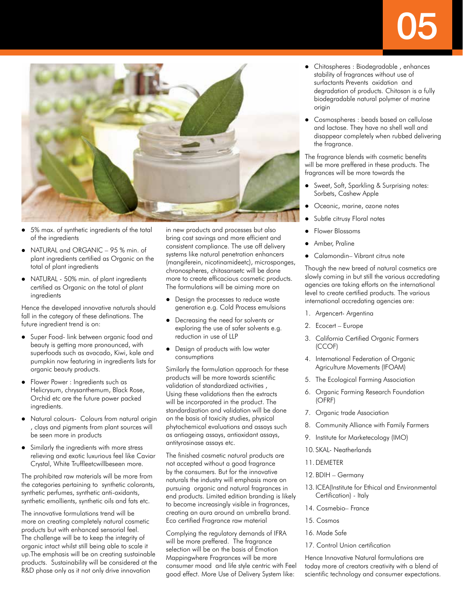# 05



- 5% max. of synthetic ingredients of the total of the ingredients
- NATURAL and ORGANIC 95 % min. of plant ingredients certified as Organic on the total of plant ingredients
- NATURAL 50% min. of plant ingredients certified as Organic on the total of plant ingredients

Hence the developed innovative naturals should fall in the category of these definations. The future ingredient trend is on:

- Super Food- link between organic food and beauty is getting more pronounced, with superfoods such as avocado, Kiwi, kale and pumpkin now featuring in ingredients lists for organic beauty products.
- Flower Power : Ingredients such as Helicrysum, chrysanthemum, Black Rose, Orchid etc are the future power packed ingredients.
- Natural colours- Colours from natural origin , clays and pigments from plant sources will be seen more in products
- Similarly the ingredients with more stress relieving and exotic luxurious feel like Caviar Crystal, White Truffleetcwillbeseen more.

The prohibited raw materials will be more from the categories pertaining to synthetic colorants, synthetic perfumes, synthetic anti-oxidants, synthetic emollients, synthetic oils and fats etc.

The innovative formulations trend will be more on creating completely natural cosmetic products but with enhanced sensorial feel. The challenge will be to keep the integrity of organic intact whilst still being able to scale it up.The emphasis will be on creating sustainable products. Sustainability will be considered at the R&D phase only as it not only drive innovation

in new products and processes but also bring cost savings and more efficient and consistent compliance. The use off delivery systems like natural penetration enhancers (mangiferein, nicotinamideetc), microsponges, chronospheres, chitosansetc will be done more to create efficacious cosmetic products. The formulations will be aiming more on

- Design the processes to reduce waste generation e.g. Cold Process emulsions
- Decreasing the need for solvents or exploring the use of safer solvents e.g. reduction in use of LLP
- Design of products with low water consumptions

Similarly the formulation approach for these products will be more towards scientific validation of standardized activities , Using these validations then the extracts will be incorporated in the product. The standardization and validation will be done on the basis of toxicity studies, physical phytochemical evaluations and assays such as antiageing assays, antioxidant assays, antityrosinase assays etc.

The finished cosmetic natural products are not accepted without a good fragrance by the consumers. But for the innovative naturals the industry will emphasis more on pursuing organic and natural fragrances in end products. Limited edition branding is likely to become increasingly visible in fragrances, creating an aura around an umbrella brand. Eco certified Fragrance raw material

Complying the regulatory demands of IFRA will be more preffered. The fragrance selection will be on the basis of Emotion Mappingwhere Fragrances will be more consumer mood and life style centric with Feel good effect. More Use of Delivery System like:

- Chitospheres : Biodegradable , enhances stability of fragrances without use of surfactants Prevents oxidation and degradation of products. Chitosan is a fully biodegradable natural polymer of marine origin
- Cosmospheres : beads based on cellulose and lactose. They have no shell wall and disappear completely when rubbed delivering the fragrance.

The fragrance blends with cosmetic benefits will be more preffered in these products. The fragrances will be more towards the

- Sweet, Soft, Sparkling & Surprising notes: Sorbets, Cashew Apple
- Oceanic, marine, ozone notes
- Subtle citrusy Floral notes
- Flower Blossoms
- Amber, Praline
- Calamondin– Vibrant citrus note

Though the new breed of natural cosmetics are slowly coming in but still the various accredating agencies are taking efforts on the international level to create certified products. The various international accredating agencies are:

- 1. Argencert- Argentina
- 2. Ecocert Europe
- 3. California Certified Organic Farmers (CCOF)
- 4. International Federation of Organic Agriculture Movements (IFOAM)
- 5. The Ecological Farming Association
- 6. Organic Farming Research Foundation (OFRF)
- 7. Organic trade Association
- 8. Community Alliance with Family Farmers
- 9. Institute for Marketecology (IMO)
- 10. SKAL- Neatherlands
- 11.DEMETER
- 12. BDIH Germany
- 13. ICEA(Institute for Ethical and Environmental Certification) - Italy
- 14. Cosmebio– France
- 15. Cosmos
- 16. Made Safe
- 17. Control Union certification

Hence Innovative Natural formulations are today more of creators creativity with a blend of scientific technology and consumer expectations.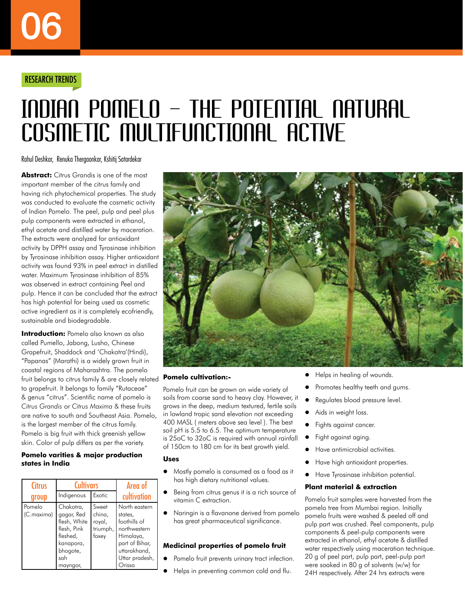#### RESEARCH TRENDS

## INDIAN POMELO – THE POTENTIAL NATURAL cosmetic Multifunctional active

Rahul Deshkar, Renuka Thergaonkar, Kshitij Satardekar

**Abstract:** Citrus Grandis is one of the most important member of the citrus family and having rich phytochemical properties. The study was conducted to evaluate the cosmetic activity of Indian Pomelo. The peel, pulp and peel plus pulp components were extracted in ethanol, ethyl acetate and distilled water by maceration. The extracts were analyzed for antioxidant activity by DPPH assay and Tyrosinase inhibition by Tyrosinase inhibition assay. Higher antioxidant activity was found 93% in peel extract in distilled water. Maximum Tyrosinase inhibition of 85% was observed in extract containing Peel and pulp. Hence it can be concluded that the extract has high potential for being used as cosmetic active ingredient as it is completely ecofriendly, sustainable and biodegradable.

**Introduction:** Pomelo also known as also called Pumello, Jabong, Lusho, Chinese Grapefruit, Shaddock and 'Chakotra'(Hindi), "Papanas" (Marathi) is a widely grown fruit in coastal regions of Maharashtra. The pomelo fruit belongs to citrus family & are closely related to grapefruit. It belongs to family "Rutaceae" & genus "citrus". Scientific name of pomelo is *Citrus Grandis* or *Citrus Maxima* & these fruits are native to south and Southeast Asia. Pomelo, is the largest member of the citrus family. Pomelo is big fruit with thick greenish yellow skin. Color of pulp differs as per the variety.

#### **Pomelo varities & major production states in India**

| <b>Citrus</b>        | Cultivars                                                                                                      | Area of                                        |                                                                                                                                     |
|----------------------|----------------------------------------------------------------------------------------------------------------|------------------------------------------------|-------------------------------------------------------------------------------------------------------------------------------------|
| group                | Indigenous                                                                                                     | Exotic                                         | cultivation                                                                                                                         |
| Pomelo<br>(C.maxima) | Chakotra,<br>gagar, Red<br>flesh, White<br>flesh, Pink<br>fleshed,<br>kanapora,<br>bhogote,<br>sah<br>mayngor, | Sweet<br>china,<br>royal,<br>triumph,<br>foxey | North eastern<br>states,<br>foothills of<br>northwestern<br>Himalaya,<br>part of Bihar,<br>uttarakhand,<br>Uttar pradesh,<br>Orissa |



#### **Pomelo cultivation:-**

Pomelo fruit can be grown on wide variety of soils from coarse sand to heavy clay. However, it grows in the deep, medium textured, fertile soils in lowland tropic sand elevation not exceeding 400 MASL ( meters above sea level ). The best soil pH is 5.5 to 6.5. The optimum temperature is 25oC to 32oC is required with annual rainfall of 150cm to 180 cm for its best growth yield.

#### **Uses**

- Mostly pomelo is consumed as a food as it has high dietary nutritional values.
- Being from citrus genus it is a rich source of vitamin C extraction.
- Naringin is a flavanone derived from pomelo has great pharmaceutical significance.

#### **Medicinal properties of pomelo fruit**

- Pomelo fruit prevents urinary tract infection.
- Helps in preventing common cold and flu.
- Helps in healing of wounds.
- Promotes healthy teeth and gums.
- Regulates blood pressure level.
- Aids in weight loss.
- Fights against cancer.
- Fight against aging.
- Have antimicrobial activities.
- **•** Have high antioxidant properties.
- **•** Have Tyrosinase inhibition potential.

#### **Plant material & extraction**

Pomelo fruit samples were harvested from the pomelo tree from Mumbai region. Initially pomelo fruits were washed & peeled off and pulp part was crushed. Peel components, pulp components & peel-pulp components were extracted in ethanol, ethyl acetate & distilled water respectively using maceration technique. 20 g of peel part, pulp part, peel-pulp part were soaked in 80 g of solvents (w/w) for 24H respectively. After 24 hrs extracts were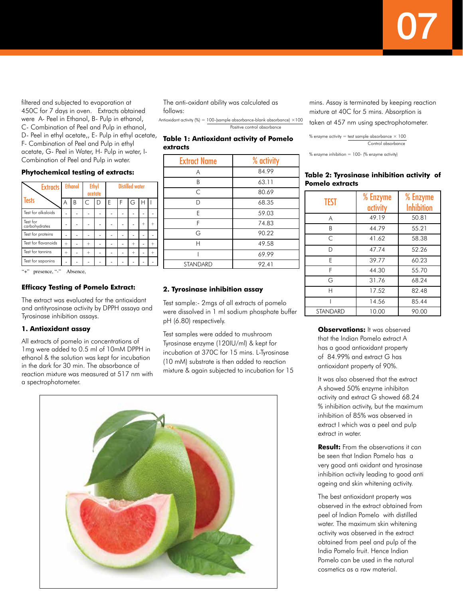filtered and subjected to evaporation at 450C for 7 days in oven. Extracts obtained were A- Peel in Ethanol, B- Pulp in ethanol, C- Combination of Peel and Pulp in ethanol, D- Peel in ethyl acetate,, E- Pulp in ethyl acetate, F- Combination of Peel and Pulp in ethyl

acetate, G- Peel in Water, H- Pulp in water, I-Combination of Peel and Pulp in water.

#### **Phytochemical testing of extracts:**

| <b>Extracts</b>           | <b>Ethanol</b> |   | <b>Ethyl</b><br>acetate |   | <b>Distilled water</b> |   |     |                                  |  |
|---------------------------|----------------|---|-------------------------|---|------------------------|---|-----|----------------------------------|--|
| Tests                     | Α              | В | Ċ                       | D | E                      | F | G   | Н                                |  |
| Test for alkaloids        |                |   |                         |   |                        |   |     |                                  |  |
| Test for<br>carbohydrates |                |   |                         |   |                        |   |     | $\hspace{0.1mm} +\hspace{0.1mm}$ |  |
| Test for proteins         |                |   |                         |   |                        |   |     |                                  |  |
| Test for flavanoids       | $^{+}$         |   | $^{+}$                  |   |                        |   | $+$ |                                  |  |
| Test for tannins          | $+$            |   | $^{+}$                  |   |                        |   | $+$ |                                  |  |
| Test for saponins         |                |   |                         |   |                        |   |     |                                  |  |

presence, "-" Absence,

#### **Efficacy Testing of Pomelo Extract:**

The extract was evaluated for the antioxidant and antityrosinase activity by DPPH assaya and Tyrosinase inhibition assays.

#### **1. Antioxidant assay**

All extracts of pomelo in concentrations of 1mg were added to 0.5 ml of 10mM DPPH in ethanol & the solution was kept for incubation in the dark for 30 min. The absorbance of reaction mixture was measured at 517 nm with a spectrophotometer.

The anti-oxidant ability was calculated as follows:

Antioxidant activity (%) = 100-(sample absorbance-blank absorbance)  $\times$ 100 Positive control absorbance

**Table 1: Antioxidant activity of Pomelo extracts**

| <b>Extract Name</b> | % activity |
|---------------------|------------|
| Α                   | 84.99      |
| B                   | 63.11      |
| C                   | 80.69      |
| D                   | 68.35      |
| E                   | 59.03      |
| F                   | 74.83      |
| G                   | 90.22      |
| Н                   | 49.58      |
|                     | 69.99      |
| <b>STANDARD</b>     | 92.41      |

#### **2. Tyrosinase inhibition assay**

Test sample:- 2mgs of all extracts of pomelo were dissolved in 1 ml sodium phosphate buffer pH (6.80) respectively.

Test samples were added to mushroom Tyrosinase enzyme (120IU/ml) & kept for incubation at 370C for 15 mins. L-Tyrosinase (10 mM) substrate is then added to reaction mixture & again subjected to incubation for 15



mins. Assay is terminated by keeping reaction mixture at 40C for 5 mins. Absorption is

taken at 457 nm using spectrophotometer.

% enzyme activity = test sample absorbance  $\times$  100 Control absorbance

% enzyme inhibition = 100- (% enzyme activity)

#### **Table 2: Tyrosinase inhibition activity of Pomelo extracts**

| <b>TEST</b>     | % Enzyme<br>activity | % Enzyme<br><b>Inhibition</b> |
|-----------------|----------------------|-------------------------------|
| A               | 49.19                | 50.81                         |
| B               | 44.79                | 55.21                         |
| $\subset$       | 41.62                | 58.38                         |
| D               | 47.74                | 52.26                         |
| F               | 39.77                | 60.23                         |
| F               | 44.30                | 55.70                         |
| G               | 31.76                | 68.24                         |
| H               | 17.52                | 82.48                         |
|                 | 14.56                | 85.44                         |
| <b>STANDARD</b> | 10.00                | 90.00                         |

**Observations:** It was observed that the Indian Pomelo extract A has a good antioxidant property of 84.99% and extract G has antioxidant property of 90%.

It was also observed that the extract A showed 50% enzyme inhibiton activity and extract G showed 68.24 % inhibition activity, but the maximum inhibition of 85% was observed in extract I which was a peel and pulp extract in water.

**Result:** From the observations it can be seen that Indian Pomelo has a very good anti oxidant and tyrosinase inhibition activity leading to good anti ageing and skin whitening activity.

The best antioxidant property was observed in the extract obtained from peel of Indian Pomelo with distilled water. The maximum skin whitening activity was observed in the extract obtained from peel and pulp of the India Pomelo fruit. Hence Indian Pomelo can be used in the natural cosmetics as a raw material.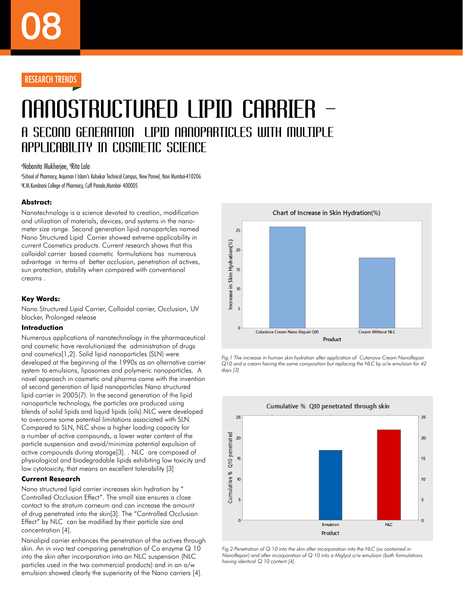### Nanostructured Lipid Carrier – a Second Generation Lipid Nanoparticles with Multiple Applicability in Cosmetic Science

#### **<sup></sup>Nabanita Mukherjee, <sup>b</sup>Rita Lala**

a School of Pharmacy, Anjuman I Islam's Kalsekar Technical Campus, New Panvel, Navi Mumbai-410206 b K.M.Kundnani College of Pharmacy, Cuff Parade,Mumbai- 400005

#### **Abstract:**

Nanotechnology is a science devoted to creation, modification and utilization of materials, devices, and systems in the nanometer size range. Second generation lipid nanopartcles named Nano Structured Lipid Carrier showed extreme applicability in current Cosmetics products. Current research shows that this colloidal carrier based cosmetic formulations has numerous advantage in terms of better occlusion, penetration of actives, sun protection, stability when compared with conventional creams .

#### **Key Words:**

Nano Structured Lipid Carrier, Colloidal carrier, Occlusion, UV blocker, Prolonged release

#### **Introduction**

Numerous applications of nanotechnology in the pharmaceutical and cosmetic have revolutionized the administration of drugs and cosmetics[1,2]. Solid lipid nanoparticles (SLN) were developed at the beginning of the 1990s as an alternative carrier system to emulsions, liposomes and polymeric nanoparticles. A novel approach in cosmetic and pharma came with the invention of second generation of lipid nanoparticles Nano structured lipid carrier in 2005(7). In the second generation of the lipid nanoparticle technology, the particles are produced using blends of solid lipids and liquid lipids (oils).NLC were developed to overcome some potential limitations associated with SLN. Compared to SLN, NLC show a higher loading capacity for a number of active compounds, a lower water content of the particle suspension and avoid/minimize potential expulsion of active compounds during storage[3]. . NLC are composed of physiological and biodegradable lipids exhibiting low toxicity and low cytotoxicity, that means an excellent tolerability [3]

#### **Current Research**

Nano structured lipid carrier increases skin hydration by " Controlled Occlusion Effect". The small size ensures a close contact to the stratum corneum and can increase the amount of drug penetrated into the skin[3]. The "Controlled Occlusion Effect" by NLC can be modified by their particle size and concentration [4].

Nanolipid carrier enhances the penetration of the actives through skin. An in vivo test comparing penetration of Co enzyme Q 10 into the skin after incorporation into an NLC suspension (NLC particles used in the two commercial products) and in an o/w emulsion showed clearly the superiority of the Nano carriers [4].



*Fig:1 The increase in human skin hydration after application of Cutanova Cream NanoRepair Q10 and a cream having the same composition but replacing the NLC by o/w emulsion for 42 days [3]*



*Fig 2:Penetration of Q 10 into the skin after incorporation into the NLC (as contained in NanoRepair) and after incorporation of Q 10 into a Miglyol o/w emulsion (both formulations having identical Q 10 content [4].*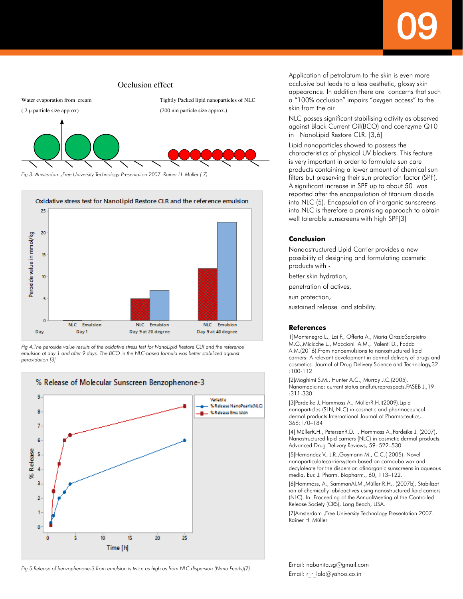09

## Occlusion effect Water evaporation from cream Tightly Packed lipid nanoparticles of NLC ( 2 µ particle size approx) (200 nm particle size approx.)

*Fig 3: Amsterdam ,Free University Technology Presentation 2007. Rainer H. Müller ( 7)*



*Fig 4:The peroxide value results of the oxidative stress test for NanoLipid Restore CLR and the reference emulsion at day 1 and after 9 days. The BCO in the NLC-based formula was better stabilized against peroxidation [3]*



Application of petrolatum to the skin is even more occlusive but leads to a less aesthetic, glossy skin appearance. In addition there are concerns that such a "100% occlusion" impairs "oxygen access" to the skin from the air

NLC posses significant stabilising activity as observed against Black Current Oil(BCO) and coenzyme Q10 in NanoLipid Restore CLR. [3,6]

Lipid nanoparticles showed to possess the characteristics of physical UV blockers. This feature is very important in order to formulate sun care products containing a lower amount of chemical sun filters but preserving their sun protection factor (SPF). A significant increase in SPF up to about 50 was reported after the encapsulation of titanium dioxide into NLC (5). Encapsulation of inorganic sunscreens into NLC is therefore a promising approach to obtain well tolerable sunscreens with high SPF[3]

#### **Conclusion**

Nanaostructured Lipid Carrier provides a new possibility of designing and formulating cosmetic products with -

better skin hydration,

penetration of actives,

sun protection,

sustained release and stability.

#### **References**

1]Montenegro L., Lai F., Offerta A., Maria GraziaSarpietro M.G.,Micicche L., Maccioni A.M., Valenti D., Fadda A.M.(2016).From nanoemulsions to nanostructured lipid carriers: A relevant development in dermal delivery of drugs and cosmetics. Journal of Drug Delivery Science and Technology,32 :100-112

[2]Moghimi S.M., Hunter A.C., Murray J.C.(2005). Nanomedicine: current status andfutureprospects.FASEB J.,19 :311-330.

[3]Pardeike J.,Hommoss A., MüllerR.H.I(2009).Lipid nanoparticles (SLN, NLC) in cosmetic and pharmaceutical dermal products.International Journal of Pharmaceutics, 366:170–184

[4] MüllerR.H., PetersenR.D. , Hommoss A.,Pardeike J. (2007). Nanostructured lipid carriers (NLC) in cosmetic dermal products. Advanced Drug Delivery Reviews, 59: 522–530

[5]Hernandez V., J.R.,Goymann M., C.C.( 2005). Novel nanoparticulatecarriersystem based on carnauba wax and decyloleate for the dispersion ofinorganic sunscreens in aqueous media. Eur. J. Pharm. Biopharm., 60, 113–122.

[6]Hommoss, A., SammanAI.M.,Müller R.H., (2007b). Stabilizat ion of chemically labileactives using nanostructured lipid carriers (NLC). In: Proceeding of the AnnualMeeting of the Controlled Release Society (CRS), Long Beach, USA.

[7]Amsterdam ,Free University Technology Presentation 2007. Rainer H. Müller

Email: nabanita.sg@gmail.com Email: r\_r\_lala@yahoo.co.in

*Fig 5:Release of benzophenone-3 from emulsion is twice as high as from NLC dispersion (Nano Pearls)(7).*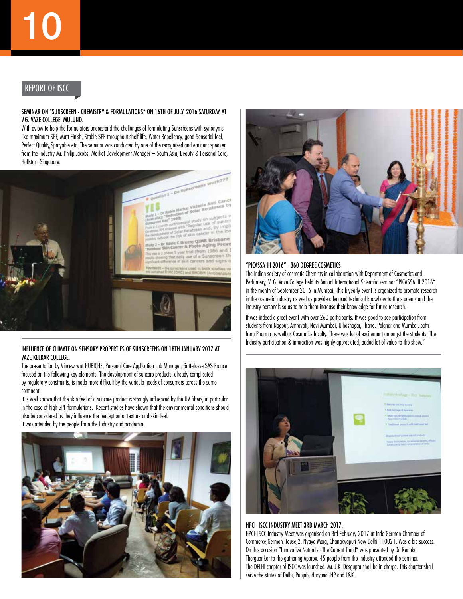#### Report of ISCC

#### Seminar on "Sunscreen - Chemistry & Formulations" on 16th of July, 2016 Saturday at V.G. Vaze College, Mulund.

With aview to help the formulators understand the challenges of formulating Sunscreens with synonyms like maximum SPF, Matt Finish, Stable SPF throughout shelf life, Water Repellency, good Sensorial feel, Perfect Quality,Sprayable etc.;The seminar was conducted by one of the recognized and eminent speaker from the industry Mr. Philip Jacobs. Market Development Manager – South Asia, Beauty & Personal Care, Hallstar - Singapore.



#### Influence of climate on sensory properties of sunscreens on 18th January 2017 at Vaze kelkar college.

The presentation by Vincew wnt HUBICHE, Personal Care Application Lab Manager, Gattefosse SAS France focused on the following key elements. The development of suncare products, already complicated by regulatory constraints, is made more difficult by the variable needs of consumers across the same continent.

It is well known that the skin feel of a suncare product is strongly influenced by the UV filters, in particular in the case of high SPF formulations. Recent studies have shown that the environmental conditions should also be considered as they influence the perception of texture and skin feel. It was attended by the people from the Industry and academia.





#### "PICASSA III 2016" - 360 Degree Cosmetics

The Indian society of cosmetic Chemists in collaboration with Department of Cosmetics and Perfumery, V. G. Vaze College held its Annual International Scientific seminar "PICASSA III 2016" in the month of September 2016 in Mumbai. This biyearly event is organized to promote research in the cosmetic industry as well as provide advanced technical knowhow to the students and the industry personals so as to help them increase their knowledge for future research.

It was indeed a great event with over 260 participants. It was good to see participation from students from Nagpur, Amravati, Navi Mumbai, Ulhasnagar, Thane, Palghar and Mumbai, both from Pharma as well as Cosmetics faculty. There was lot of excitement amongst the students. The Industry participation & interaction was highly appreciated, added lot of value to the show."



#### HPCI- ISCC Industry Meet 3rd March 2017.

HPCI- ISCC Industry Meet was organised on 3rd February 2017 at Indo German Chamber of Commerce,German House,2, Nyaya Marg, Chanakyapuri New Delhi 110021, Was a big success. On this occasion "Innovative Naturals - The Current Trend" was presented by Dr. Renuka Thergaonkar to the gathering.Approx. 45 people from the Industry attended the seminar. The DELHI chapter of ISCC was launched. Mr.U.K. Dasgupta shall be in charge. This chapter shall serve the states of Delhi, Punjab, Haryana, HP and J&K.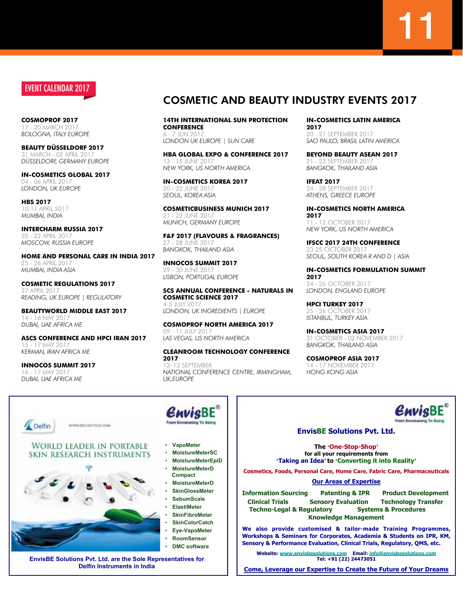#### event calendar 2017

**Cosmoprof 2017** 20 MARCH 20 *Bologna, Italy Europe*

**BEAUTY Düsseldorf 2017** 31 March - 02 April 2017 *Düsseldorf, Germany Europe*

**in-cosmetics Global 2017** 04 - 06 April 2017 *London, UK Europe*

**HBS 2017** 10-11 APRIL 2017 *Mumbai, India*

**Intercharm Russia 2017** 20 - 22 April 2017 *Moscow, Russia Europe*

**Home and Personal Care in India 2017** 25 - 26 April 2017 *Mumbai, India Asia*

**Cosmetic Regulations 2017** 27 April 2017 *Reading, UK Europe | Regulatory*

**Beautyworld Middle East 2017** 14 - 16 May 2017 *Dubai, UAE Africa ME* 

**ASCS Conference and HPCI Iran 2017** 15 - 17 May 2017 *Kerman, Iran Africa ME* 

**INNOCOS summit 2017** 16 - 17 May 2017 *Dubai, UAE Africa ME* 

Delfin



**14th International Sun Protection Conference**  $6 - 7$  IUN 207 *London UK Europe | Sun Care*

**HBA Global Expo & Conference 2017** 13 - 15 June 2017 *New York, US North America*

**in-cosmetics Korea 2017** 20 - 22 June 2017 *Seoul, Korea Asia*

21 - 22 June 2017 *Munich, Germany Europe*

**f&f 2017 (flavours & fragrances)** 27 - 28 June 2017

### **Cleanroom Technology Conference**

12–13 September *National Conference Centre, irmingham, UK,Europe*

**in-cosmetics Latin America 2017** 20 - 21 September 2017

*Sao Paulo, Brasil Latin America*

**Beyond Beauty Asean 2017** 21 - 23 September 2017 *Bangkok, Thailand Asia*

**IFEAT 2017** 24 - 28 September 2017 *Athens, Greece Europe*

**in-cosmetics North America 2017** 11 - 12 October 2017 *New York, US North America*

**IFSCC 2017 24th Conference** 23-25 OCTOBER 2017 *Seoul, South Korea R and D | Asia*

**in-cosmetics Formulation Summit**

**2017** 24 - 26 October 2017 *London, England Europe*

**HPCI Turkey 2017** 25 - 26 October 2017 *Istanbul, Turkey Asia*

**in-cosmetics Asia 2017** 31 October - 02 November 2017 *Bangkok, Thailand Asia*

**Cosmoprof Asia 2017** 14 - 17 November 2017 *Hong Kong Asia*

### $\mathbf{\mathcal{C}}$ *nvig*BE

#### **EnvisBE Solutions Pvt. Ltd.**

**The 'One-Stop-Shop' for all your requirements from 'Taking an Idea' to 'Converting it into Reality'**

**Cosmetics, Foods, Personal Care, Home Care, Fabric Care, Pharmaceuticals** 

#### **Our Areas of Expertise**

**Information Sourcing Patenting & IPR Product Development Clinical Trials Sensory Evaluation Technology Transfer Techno-Legal & Regulatory Systems & Procedures Knowledge Management** 

**We also provide customised & tailor-made Training Programmes, Workshops & Seminars for Corporates, Academia & Students on IPR, KM, Sensory & Performance Evaluation, Clinical Trials, Regulatory, QMS, etc.**

**Website: www.envisbesolutions.com Email: info@envisbesolutions.com Tel: +91 (22) 24473051** 

**Come, Leverage our Expertise to Create the Future of Your Dreams** 



¥ **VapoMeter** 

- 
- 
- 
- ¥ **MoistureMeterD**
- ¥ **SkinGlossMeter**
- SebumScale
- 
- **SkinFibroMeter**
- 
- 
- **DMC software**

**EnvisBE Solutions Pvt. Ltd. are the Sole Representatives for Delfin Instruments in India** 

**WORLD LEADER IN PORTABLE** 

WWW.DELFINTECH.COM

SKIN RESEARCH INSTRUMENTS



- ¥ **MoistureMeterSC**
- ¥ **MoistureMeterEpiD**
- ¥ **MoistureMeterD**
- **Compact**
- 
- 
- ¥ **ElastiMeter**
- 
- **SkinColorCatch**
- **Eye-VapoMeter**
- ¥ **RoomSensor**
- 

## **CosmeticBusiness Munich 2017**

*Bangkok, Thailand Asia* **INNOCOS summit 2017**

29 - 30 June 2017 *Lisbon, Portugal Europe*

#### **SCS Annual Conference - Naturals in Cosmetic Science 2017** 4-5 IUIY 2017 *London, UK Ingredients | Europe*

## **2017**

**Cosmoprof North America 2017** 09 - 11 JULY 2017 *Las Vegas, US North America*